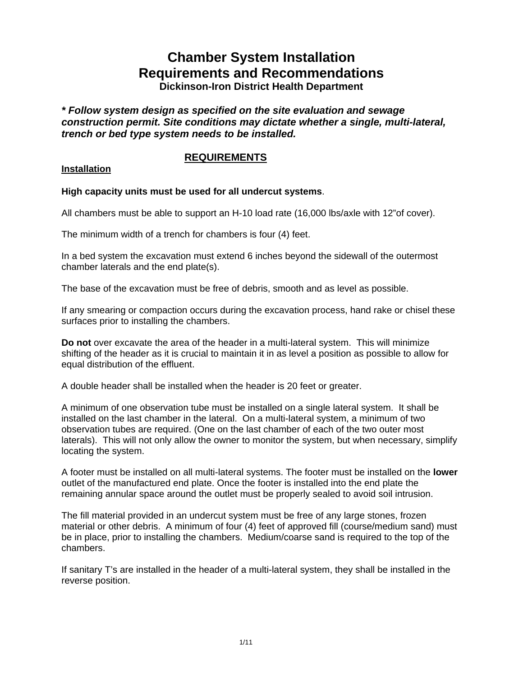# **Chamber System Installation Requirements and Recommendations**

**Dickinson-Iron District Health Department** 

*\* Follow system design as specified on the site evaluation and sewage construction permit. Site conditions may dictate whether a single, multi-lateral, trench or bed type system needs to be installed.* 

# **REQUIREMENTS**

## **Installation**

# **High capacity units must be used for all undercut systems**.

All chambers must be able to support an H-10 load rate (16,000 lbs/axle with 12"of cover).

The minimum width of a trench for chambers is four (4) feet.

In a bed system the excavation must extend 6 inches beyond the sidewall of the outermost chamber laterals and the end plate(s).

The base of the excavation must be free of debris, smooth and as level as possible.

If any smearing or compaction occurs during the excavation process, hand rake or chisel these surfaces prior to installing the chambers.

**Do not** over excavate the area of the header in a multi-lateral system. This will minimize shifting of the header as it is crucial to maintain it in as level a position as possible to allow for equal distribution of the effluent.

A double header shall be installed when the header is 20 feet or greater.

A minimum of one observation tube must be installed on a single lateral system. It shall be installed on the last chamber in the lateral. On a multi-lateral system, a minimum of two observation tubes are required. (One on the last chamber of each of the two outer most laterals). This will not only allow the owner to monitor the system, but when necessary, simplify locating the system.

A footer must be installed on all multi-lateral systems. The footer must be installed on the **lower** outlet of the manufactured end plate. Once the footer is installed into the end plate the remaining annular space around the outlet must be properly sealed to avoid soil intrusion.

The fill material provided in an undercut system must be free of any large stones, frozen material or other debris. A minimum of four (4) feet of approved fill (course/medium sand) must be in place, prior to installing the chambers. Medium/coarse sand is required to the top of the chambers.

If sanitary T's are installed in the header of a multi-lateral system, they shall be installed in the reverse position.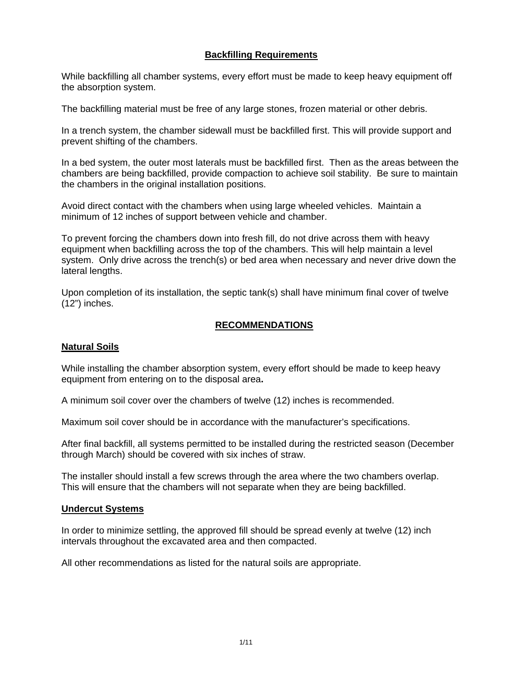# **Backfilling Requirements**

While backfilling all chamber systems, every effort must be made to keep heavy equipment off the absorption system.

The backfilling material must be free of any large stones, frozen material or other debris.

In a trench system, the chamber sidewall must be backfilled first. This will provide support and prevent shifting of the chambers.

In a bed system, the outer most laterals must be backfilled first. Then as the areas between the chambers are being backfilled, provide compaction to achieve soil stability. Be sure to maintain the chambers in the original installation positions.

Avoid direct contact with the chambers when using large wheeled vehicles. Maintain a minimum of 12 inches of support between vehicle and chamber.

To prevent forcing the chambers down into fresh fill, do not drive across them with heavy equipment when backfilling across the top of the chambers. This will help maintain a level system. Only drive across the trench(s) or bed area when necessary and never drive down the lateral lengths.

Upon completion of its installation, the septic tank(s) shall have minimum final cover of twelve (12") inches.

#### **RECOMMENDATIONS**

#### **Natural Soils**

While installing the chamber absorption system, every effort should be made to keep heavy equipment from entering on to the disposal area**.** 

A minimum soil cover over the chambers of twelve (12) inches is recommended.

Maximum soil cover should be in accordance with the manufacturer's specifications.

After final backfill, all systems permitted to be installed during the restricted season (December through March) should be covered with six inches of straw.

The installer should install a few screws through the area where the two chambers overlap. This will ensure that the chambers will not separate when they are being backfilled.

## **Undercut Systems**

In order to minimize settling, the approved fill should be spread evenly at twelve (12) inch intervals throughout the excavated area and then compacted.

All other recommendations as listed for the natural soils are appropriate.